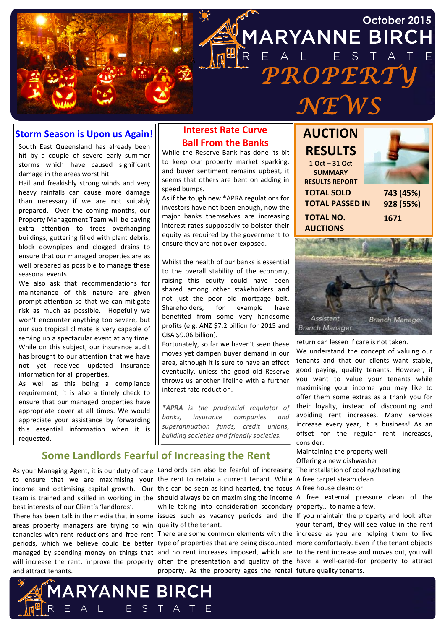

#### **Storm Season is Upon us Again!**

South East Queensland has already been hit by a couple of severe early summer storms which have caused significant damage in the areas worst hit.

Hail and freakishly strong winds and very heavy rainfalls can cause more damage than necessary if we are not suitably prepared. Over the coming months, our Property Management Team will be paying extra attention to trees overhanging buildings, guttering filled with plant debris, block downpipes and clogged drains to ensure that our managed properties are as well prepared as possible to manage these seasonal events.

We also ask that recommendations for maintenance of this nature are given prompt attention so that we can mitigate risk as much as possible. Hopefully we won't encounter anything too severe, but our sub tropical climate is very capable of serving up a spectacular event at any time. While on this subject, our insurance audit has brought to our attention that we have not yet received updated insurance information for all properties.

As well as this being a compliance requirement, it is also a timely check to ensure that our managed properties have appropriate cover at all times. We would appreciate your assistance by forwarding this essential information when it is requested.

### **Interest Rate Curve Ball From the Banks**

While the Reserve Bank has done its bit to keep our property market sparking, and buyer sentiment remains upbeat, it seems that others are bent on adding in speed bumps.

As if the tough new \*APRA regulations for investors have not been enough, now the major banks themselves are increasing interest rates supposedly to bolster their equity as required by the government to ensure they are not over-exposed.

Whilst the health of our banks is essential to the overall stability of the economy, raising this equity could have been shared among other stakeholders and not just the poor old mortgage belt. Shareholders, for example have benefited from some very handsome profits (e.g. ANZ \$7.2 billion for 2015 and CBA \$9.06 billion).

Fortunately, so far we haven't seen these moves yet dampen buyer demand in our area, although it is sure to have an effect eventually, unless the good old Reserve throws us another lifeline with a further interest rate reduction.

*\*APRA is! the! prudential! regulator! of!* banks, insurance companies and *superannuation! funds,! credit! unions,! building!societies!and!friendly!societies.*

#### **Some Landlords Fearful of Increasing the Rent**

**1ARYANNE BIRCH** 

E A L E S T A T E

to ensure that we are maximising your the rent to retain a current tenant. While A free carpet steam clean income and optimising capital growth. Our this can be seen as kind-hearted, the focus A free house clean: or team is trained and skilled in working in the should always be on maximising the income A free external pressure clean of the best interests of our Client's 'landlords'.

areas property managers are trying to win quality of the tenant. tenancies with rent reductions and free rent There are some common elements with the increase as you are helping them to live periods, which we believe could be better type of properties that are being discounted more comfortably. Even if the tenant objects managed by spending money on things that and no rent increases imposed, which are to the rent increase and moves out, you will will increase the rent, improve the property often the presentation and quality of the have a well-cared-for property to attract and attract tenants.

As your Managing Agent, it is our duty of care Landlords can also be fearful of increasing The installation of cooling/heating There has been talk in the media that in some lissues such as vacancy periods and the If you maintain the property and look after while taking into consideration secondary property... to name a few.

property. As the property ages the rental future quality tenants.





return can lessen if care is not taken.

We understand the concept of valuing our tenants and that our clients want stable, good paying, quality tenants. However, if you want to value your tenants while maximising your income you may like to offer them some extras as a thank you for their loyalty, instead of discounting and avoiding rent increases. Many services increase every year, it is business! As an offset for the regular rent increases, consider:

Maintaining the property well Offering a new dishwasher

your tenant, they will see value in the rent